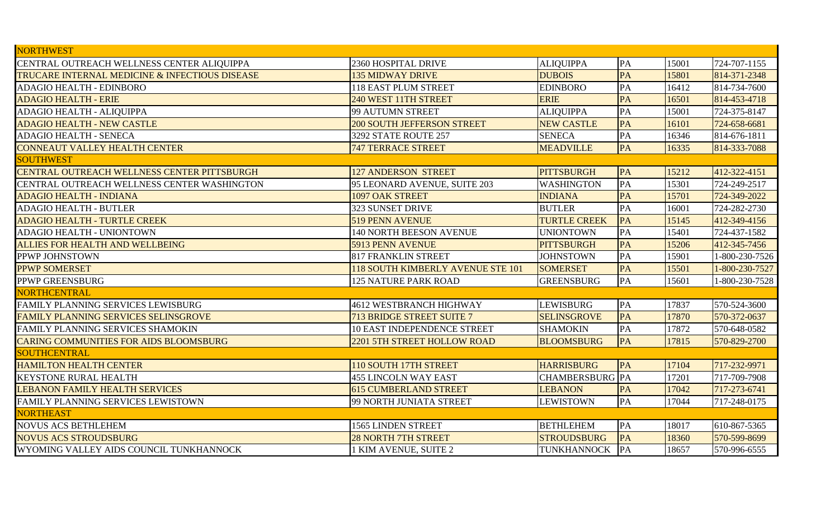| <b>ALIQUIPPA</b><br>PA<br>724-707-1155<br>2360 HOSPITAL DRIVE<br>15001<br>PA<br><b>135 MIDWAY DRIVE</b><br><b>DUBOIS</b><br>15801<br>814-371-2348<br>PA<br><b>EDINBORO</b><br>16412<br>814-734-7600<br>118 EAST PLUM STREET<br>PA<br><b>ERIE</b><br>814-453-4718<br>240 WEST 11TH STREET<br>16501<br>PA<br>724-375-8147<br>99 AUTUMN STREET<br><b>ALIQUIPPA</b><br>15001<br>PA<br><b>NEW CASTLE</b><br>16101<br><b>200 SOUTH JEFFERSON STREET</b><br>724-658-6681<br>PA<br><b>SENECA</b><br>814-676-1811<br>3292 STATE ROUTE 257<br>16346<br>PA<br>814-333-7088<br><b>747 TERRACE STREET</b><br><b>MEADVILLE</b><br>16335<br>PITTSBURGH<br>PA<br>412-322-4151<br><b>127 ANDERSON STREET</b><br>15212<br>PA<br>15301<br>724-249-2517<br><b>WASHINGTON</b><br>95 LEONARD AVENUE, SUITE 203<br>PA<br>1097 OAK STREET<br>15701<br><b>INDIANA</b><br>724-349-2022<br>PA<br>323 SUNSET DRIVE<br><b>BUTLER</b><br>16001<br>724-282-2730<br><b>TURTLE CREEK</b><br>PA<br>519 PENN AVENUE<br>15145<br>412-349-4156<br>PA<br><b>140 NORTH BEESON AVENUE</b><br><b>UNIONTOWN</b><br>724-437-1582<br>15401<br>PA<br>5913 PENN AVENUE<br>PITTSBURGH<br>15206<br>412-345-7456<br>PA<br><b>817 FRANKLIN STREET</b><br><b>JOHNSTOWN</b><br>15901<br>1-800-230-7526<br>PA<br>118 SOUTH KIMBERLY AVENUE STE 101<br><b>SOMERSET</b><br>15501<br>1-800-230-7527<br>PA<br><b>125 NATURE PARK ROAD</b><br><b>GREENSBURG</b><br>15601<br>1-800-230-7528<br><b>LEWISBURG</b><br>PA<br><b>4612 WESTBRANCH HIGHWAY</b><br>17837<br>570-524-3600<br>PA<br>570-372-0637<br>17870<br>713 BRIDGE STREET SUITE 7<br><b>SELINSGROVE</b><br>PA<br>17872<br><b>10 EAST INDEPENDENCE STREET</b><br><b>SHAMOKIN</b><br>570-648-0582<br>PA<br>570-829-2700<br>2201 5TH STREET HOLLOW ROAD<br><b>BLOOMSBURG</b><br>17815<br>PA<br>717-232-9971<br>110 SOUTH 17TH STREET<br><b>HARRISBURG</b><br>17104<br><b>CHAMBERSBURG</b> PA<br>17201<br><b>455 LINCOLN WAY EAST</b><br>717-709-7908<br>PA<br>17042<br>717-273-6741<br><b>615 CUMBERLAND STREET</b><br><b>LEBANON</b><br>PA<br>99 NORTH JUNIATA STREET<br><b>LEWISTOWN</b><br>17044<br>717-248-0175<br><b>1565 LINDEN STREET</b><br><b>BETHLEHEM</b><br>PA<br>610-867-5365<br>18017<br>PA<br>570-599-8699<br><b>28 NORTH 7TH STREET</b><br><b>STROUDSBURG</b><br>18360<br>PA<br>KIM AVENUE, SUITE 2<br><b>TUNKHANNOCK</b><br>18657<br>570-996-6555 | <b>NORTHWEST</b>                                          |  |  |  |
|-----------------------------------------------------------------------------------------------------------------------------------------------------------------------------------------------------------------------------------------------------------------------------------------------------------------------------------------------------------------------------------------------------------------------------------------------------------------------------------------------------------------------------------------------------------------------------------------------------------------------------------------------------------------------------------------------------------------------------------------------------------------------------------------------------------------------------------------------------------------------------------------------------------------------------------------------------------------------------------------------------------------------------------------------------------------------------------------------------------------------------------------------------------------------------------------------------------------------------------------------------------------------------------------------------------------------------------------------------------------------------------------------------------------------------------------------------------------------------------------------------------------------------------------------------------------------------------------------------------------------------------------------------------------------------------------------------------------------------------------------------------------------------------------------------------------------------------------------------------------------------------------------------------------------------------------------------------------------------------------------------------------------------------------------------------------------------------------------------------------------------------------------------------------------------------------------------------------------------------------------------------------------------------------------------------------------------------------------------------------|-----------------------------------------------------------|--|--|--|
|                                                                                                                                                                                                                                                                                                                                                                                                                                                                                                                                                                                                                                                                                                                                                                                                                                                                                                                                                                                                                                                                                                                                                                                                                                                                                                                                                                                                                                                                                                                                                                                                                                                                                                                                                                                                                                                                                                                                                                                                                                                                                                                                                                                                                                                                                                                                                                 | CENTRAL OUTREACH WELLNESS CENTER ALIQUIPPA                |  |  |  |
|                                                                                                                                                                                                                                                                                                                                                                                                                                                                                                                                                                                                                                                                                                                                                                                                                                                                                                                                                                                                                                                                                                                                                                                                                                                                                                                                                                                                                                                                                                                                                                                                                                                                                                                                                                                                                                                                                                                                                                                                                                                                                                                                                                                                                                                                                                                                                                 | <b>TRUCARE INTERNAL MEDICINE &amp; INFECTIOUS DISEASE</b> |  |  |  |
|                                                                                                                                                                                                                                                                                                                                                                                                                                                                                                                                                                                                                                                                                                                                                                                                                                                                                                                                                                                                                                                                                                                                                                                                                                                                                                                                                                                                                                                                                                                                                                                                                                                                                                                                                                                                                                                                                                                                                                                                                                                                                                                                                                                                                                                                                                                                                                 | <b>ADAGIO HEALTH - EDINBORO</b>                           |  |  |  |
|                                                                                                                                                                                                                                                                                                                                                                                                                                                                                                                                                                                                                                                                                                                                                                                                                                                                                                                                                                                                                                                                                                                                                                                                                                                                                                                                                                                                                                                                                                                                                                                                                                                                                                                                                                                                                                                                                                                                                                                                                                                                                                                                                                                                                                                                                                                                                                 | <b>ADAGIO HEALTH - ERIE</b>                               |  |  |  |
|                                                                                                                                                                                                                                                                                                                                                                                                                                                                                                                                                                                                                                                                                                                                                                                                                                                                                                                                                                                                                                                                                                                                                                                                                                                                                                                                                                                                                                                                                                                                                                                                                                                                                                                                                                                                                                                                                                                                                                                                                                                                                                                                                                                                                                                                                                                                                                 | ADAGIO HEALTH - ALIQUIPPA                                 |  |  |  |
|                                                                                                                                                                                                                                                                                                                                                                                                                                                                                                                                                                                                                                                                                                                                                                                                                                                                                                                                                                                                                                                                                                                                                                                                                                                                                                                                                                                                                                                                                                                                                                                                                                                                                                                                                                                                                                                                                                                                                                                                                                                                                                                                                                                                                                                                                                                                                                 | <b>ADAGIO HEALTH - NEW CASTLE</b>                         |  |  |  |
|                                                                                                                                                                                                                                                                                                                                                                                                                                                                                                                                                                                                                                                                                                                                                                                                                                                                                                                                                                                                                                                                                                                                                                                                                                                                                                                                                                                                                                                                                                                                                                                                                                                                                                                                                                                                                                                                                                                                                                                                                                                                                                                                                                                                                                                                                                                                                                 | <b>ADAGIO HEALTH - SENECA</b>                             |  |  |  |
|                                                                                                                                                                                                                                                                                                                                                                                                                                                                                                                                                                                                                                                                                                                                                                                                                                                                                                                                                                                                                                                                                                                                                                                                                                                                                                                                                                                                                                                                                                                                                                                                                                                                                                                                                                                                                                                                                                                                                                                                                                                                                                                                                                                                                                                                                                                                                                 | <b>CONNEAUT VALLEY HEALTH CENTER</b>                      |  |  |  |
|                                                                                                                                                                                                                                                                                                                                                                                                                                                                                                                                                                                                                                                                                                                                                                                                                                                                                                                                                                                                                                                                                                                                                                                                                                                                                                                                                                                                                                                                                                                                                                                                                                                                                                                                                                                                                                                                                                                                                                                                                                                                                                                                                                                                                                                                                                                                                                 | <b>SOUTHWEST</b>                                          |  |  |  |
|                                                                                                                                                                                                                                                                                                                                                                                                                                                                                                                                                                                                                                                                                                                                                                                                                                                                                                                                                                                                                                                                                                                                                                                                                                                                                                                                                                                                                                                                                                                                                                                                                                                                                                                                                                                                                                                                                                                                                                                                                                                                                                                                                                                                                                                                                                                                                                 | CENTRAL OUTREACH WELLNESS CENTER PITTSBURGH               |  |  |  |
|                                                                                                                                                                                                                                                                                                                                                                                                                                                                                                                                                                                                                                                                                                                                                                                                                                                                                                                                                                                                                                                                                                                                                                                                                                                                                                                                                                                                                                                                                                                                                                                                                                                                                                                                                                                                                                                                                                                                                                                                                                                                                                                                                                                                                                                                                                                                                                 | CENTRAL OUTREACH WELLNESS CENTER WASHINGTON               |  |  |  |
|                                                                                                                                                                                                                                                                                                                                                                                                                                                                                                                                                                                                                                                                                                                                                                                                                                                                                                                                                                                                                                                                                                                                                                                                                                                                                                                                                                                                                                                                                                                                                                                                                                                                                                                                                                                                                                                                                                                                                                                                                                                                                                                                                                                                                                                                                                                                                                 | <b>ADAGIO HEALTH - INDIANA</b>                            |  |  |  |
|                                                                                                                                                                                                                                                                                                                                                                                                                                                                                                                                                                                                                                                                                                                                                                                                                                                                                                                                                                                                                                                                                                                                                                                                                                                                                                                                                                                                                                                                                                                                                                                                                                                                                                                                                                                                                                                                                                                                                                                                                                                                                                                                                                                                                                                                                                                                                                 | <b>ADAGIO HEALTH - BUTLER</b>                             |  |  |  |
|                                                                                                                                                                                                                                                                                                                                                                                                                                                                                                                                                                                                                                                                                                                                                                                                                                                                                                                                                                                                                                                                                                                                                                                                                                                                                                                                                                                                                                                                                                                                                                                                                                                                                                                                                                                                                                                                                                                                                                                                                                                                                                                                                                                                                                                                                                                                                                 | <b>ADAGIO HEALTH - TURTLE CREEK</b>                       |  |  |  |
|                                                                                                                                                                                                                                                                                                                                                                                                                                                                                                                                                                                                                                                                                                                                                                                                                                                                                                                                                                                                                                                                                                                                                                                                                                                                                                                                                                                                                                                                                                                                                                                                                                                                                                                                                                                                                                                                                                                                                                                                                                                                                                                                                                                                                                                                                                                                                                 | ADAGIO HEALTH - UNIONTOWN                                 |  |  |  |
|                                                                                                                                                                                                                                                                                                                                                                                                                                                                                                                                                                                                                                                                                                                                                                                                                                                                                                                                                                                                                                                                                                                                                                                                                                                                                                                                                                                                                                                                                                                                                                                                                                                                                                                                                                                                                                                                                                                                                                                                                                                                                                                                                                                                                                                                                                                                                                 | ALLIES FOR HEALTH AND WELLBEING                           |  |  |  |
|                                                                                                                                                                                                                                                                                                                                                                                                                                                                                                                                                                                                                                                                                                                                                                                                                                                                                                                                                                                                                                                                                                                                                                                                                                                                                                                                                                                                                                                                                                                                                                                                                                                                                                                                                                                                                                                                                                                                                                                                                                                                                                                                                                                                                                                                                                                                                                 | PPWP JOHNSTOWN                                            |  |  |  |
|                                                                                                                                                                                                                                                                                                                                                                                                                                                                                                                                                                                                                                                                                                                                                                                                                                                                                                                                                                                                                                                                                                                                                                                                                                                                                                                                                                                                                                                                                                                                                                                                                                                                                                                                                                                                                                                                                                                                                                                                                                                                                                                                                                                                                                                                                                                                                                 | <b>PPWP SOMERSET</b>                                      |  |  |  |
|                                                                                                                                                                                                                                                                                                                                                                                                                                                                                                                                                                                                                                                                                                                                                                                                                                                                                                                                                                                                                                                                                                                                                                                                                                                                                                                                                                                                                                                                                                                                                                                                                                                                                                                                                                                                                                                                                                                                                                                                                                                                                                                                                                                                                                                                                                                                                                 | PPWP GREENSBURG                                           |  |  |  |
|                                                                                                                                                                                                                                                                                                                                                                                                                                                                                                                                                                                                                                                                                                                                                                                                                                                                                                                                                                                                                                                                                                                                                                                                                                                                                                                                                                                                                                                                                                                                                                                                                                                                                                                                                                                                                                                                                                                                                                                                                                                                                                                                                                                                                                                                                                                                                                 | <b>NORTHCENTRAL</b>                                       |  |  |  |
|                                                                                                                                                                                                                                                                                                                                                                                                                                                                                                                                                                                                                                                                                                                                                                                                                                                                                                                                                                                                                                                                                                                                                                                                                                                                                                                                                                                                                                                                                                                                                                                                                                                                                                                                                                                                                                                                                                                                                                                                                                                                                                                                                                                                                                                                                                                                                                 | FAMILY PLANNING SERVICES LEWISBURG                        |  |  |  |
|                                                                                                                                                                                                                                                                                                                                                                                                                                                                                                                                                                                                                                                                                                                                                                                                                                                                                                                                                                                                                                                                                                                                                                                                                                                                                                                                                                                                                                                                                                                                                                                                                                                                                                                                                                                                                                                                                                                                                                                                                                                                                                                                                                                                                                                                                                                                                                 | FAMILY PLANNING SERVICES SELINSGROVE                      |  |  |  |
|                                                                                                                                                                                                                                                                                                                                                                                                                                                                                                                                                                                                                                                                                                                                                                                                                                                                                                                                                                                                                                                                                                                                                                                                                                                                                                                                                                                                                                                                                                                                                                                                                                                                                                                                                                                                                                                                                                                                                                                                                                                                                                                                                                                                                                                                                                                                                                 | FAMILY PLANNING SERVICES SHAMOKIN                         |  |  |  |
|                                                                                                                                                                                                                                                                                                                                                                                                                                                                                                                                                                                                                                                                                                                                                                                                                                                                                                                                                                                                                                                                                                                                                                                                                                                                                                                                                                                                                                                                                                                                                                                                                                                                                                                                                                                                                                                                                                                                                                                                                                                                                                                                                                                                                                                                                                                                                                 | <b>CARING COMMUNITIES FOR AIDS BLOOMSBURG</b>             |  |  |  |
|                                                                                                                                                                                                                                                                                                                                                                                                                                                                                                                                                                                                                                                                                                                                                                                                                                                                                                                                                                                                                                                                                                                                                                                                                                                                                                                                                                                                                                                                                                                                                                                                                                                                                                                                                                                                                                                                                                                                                                                                                                                                                                                                                                                                                                                                                                                                                                 | SOUTHCENTRAL                                              |  |  |  |
|                                                                                                                                                                                                                                                                                                                                                                                                                                                                                                                                                                                                                                                                                                                                                                                                                                                                                                                                                                                                                                                                                                                                                                                                                                                                                                                                                                                                                                                                                                                                                                                                                                                                                                                                                                                                                                                                                                                                                                                                                                                                                                                                                                                                                                                                                                                                                                 | <b>HAMILTON HEALTH CENTER</b>                             |  |  |  |
|                                                                                                                                                                                                                                                                                                                                                                                                                                                                                                                                                                                                                                                                                                                                                                                                                                                                                                                                                                                                                                                                                                                                                                                                                                                                                                                                                                                                                                                                                                                                                                                                                                                                                                                                                                                                                                                                                                                                                                                                                                                                                                                                                                                                                                                                                                                                                                 | <b>KEYSTONE RURAL HEALTH</b>                              |  |  |  |
|                                                                                                                                                                                                                                                                                                                                                                                                                                                                                                                                                                                                                                                                                                                                                                                                                                                                                                                                                                                                                                                                                                                                                                                                                                                                                                                                                                                                                                                                                                                                                                                                                                                                                                                                                                                                                                                                                                                                                                                                                                                                                                                                                                                                                                                                                                                                                                 | <b>LEBANON FAMILY HEALTH SERVICES</b>                     |  |  |  |
|                                                                                                                                                                                                                                                                                                                                                                                                                                                                                                                                                                                                                                                                                                                                                                                                                                                                                                                                                                                                                                                                                                                                                                                                                                                                                                                                                                                                                                                                                                                                                                                                                                                                                                                                                                                                                                                                                                                                                                                                                                                                                                                                                                                                                                                                                                                                                                 | FAMILY PLANNING SERVICES LEWISTOWN                        |  |  |  |
|                                                                                                                                                                                                                                                                                                                                                                                                                                                                                                                                                                                                                                                                                                                                                                                                                                                                                                                                                                                                                                                                                                                                                                                                                                                                                                                                                                                                                                                                                                                                                                                                                                                                                                                                                                                                                                                                                                                                                                                                                                                                                                                                                                                                                                                                                                                                                                 | <b>NORTHEAST</b>                                          |  |  |  |
|                                                                                                                                                                                                                                                                                                                                                                                                                                                                                                                                                                                                                                                                                                                                                                                                                                                                                                                                                                                                                                                                                                                                                                                                                                                                                                                                                                                                                                                                                                                                                                                                                                                                                                                                                                                                                                                                                                                                                                                                                                                                                                                                                                                                                                                                                                                                                                 | <b>NOVUS ACS BETHLEHEM</b>                                |  |  |  |
|                                                                                                                                                                                                                                                                                                                                                                                                                                                                                                                                                                                                                                                                                                                                                                                                                                                                                                                                                                                                                                                                                                                                                                                                                                                                                                                                                                                                                                                                                                                                                                                                                                                                                                                                                                                                                                                                                                                                                                                                                                                                                                                                                                                                                                                                                                                                                                 | <b>NOVUS ACS STROUDSBURG</b>                              |  |  |  |
|                                                                                                                                                                                                                                                                                                                                                                                                                                                                                                                                                                                                                                                                                                                                                                                                                                                                                                                                                                                                                                                                                                                                                                                                                                                                                                                                                                                                                                                                                                                                                                                                                                                                                                                                                                                                                                                                                                                                                                                                                                                                                                                                                                                                                                                                                                                                                                 | WYOMING VALLEY AIDS COUNCIL TUNKHANNOCK                   |  |  |  |